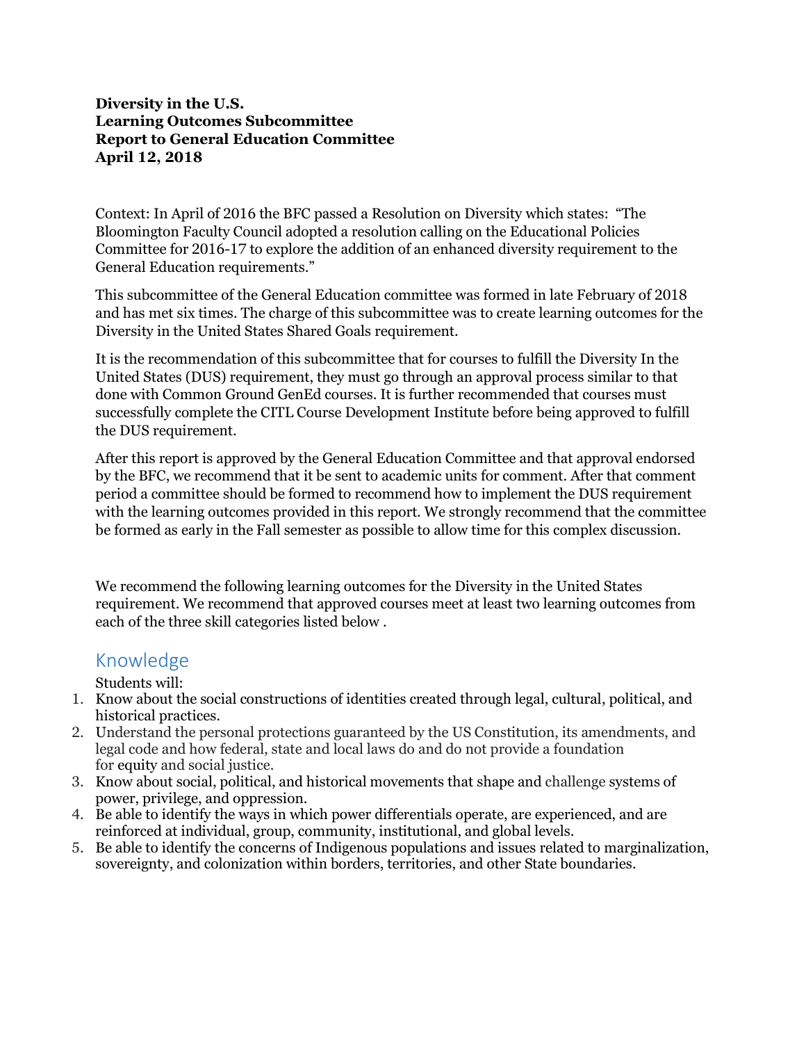## **Diversity in the U.S. Learning Outcomes Subcommittee Report to General Education Committee April 12, 2018**

Context: In April of 2016 the BFC passed a Resolution on Diversity which states: "The Bloomington Faculty Council adopted a resolution calling on the Educational Policies Committee for 2016-17 to explore the addition of an enhanced diversity requirement to the General Education requirements."

This subcommittee of the General Education committee was formed in late February of 2018 and has met six times. The charge of this subcommittee was to create learning outcomes for the Diversity in the United States Shared Goals requirement.

It is the recommendation of this subcommittee that for courses to fulfill the Diversity In the United States (DUS) requirement, they must go through an approval process similar to that done with Common Ground GenEd courses. It is further recommended that courses must successfully complete the CITL Course Development Institute before being approved to fulfill the DUS requirement.

After this report is approved by the General Education Committee and that approval endorsed by the BFC, we recommend that it be sent to academic units for comment. After that comment period a committee should be formed to recommend how to implement the DUS requirement with the learning outcomes provided in this report. We strongly recommend that the committee be formed as early in the Fall semester as possible to allow time for this complex discussion.

We recommend the following learning outcomes for the Diversity in the United States requirement. We recommend that approved courses meet at least two learning outcomes from each of the three skill categories listed below .

## Knowledge

Students will:

- 1. Know about the social constructions of identities created through legal, cultural, political, and historical practices.
- 2. Understand the personal protections guaranteed by the US Constitution, its amendments, and legal code and how federal, state and local laws do and do not provide a foundation for equity and social justice.
- 3. Know about social, political, and historical movements that shape and challenge systems of power, privilege, and oppression.
- 4. Be able to identify the ways in which power differentials operate, are experienced, and are reinforced at individual, group, community, institutional, and global levels.
- 5. Be able to identify the concerns of Indigenous populations and issues related to marginalization, sovereignty, and colonization within borders, territories, and other State boundaries.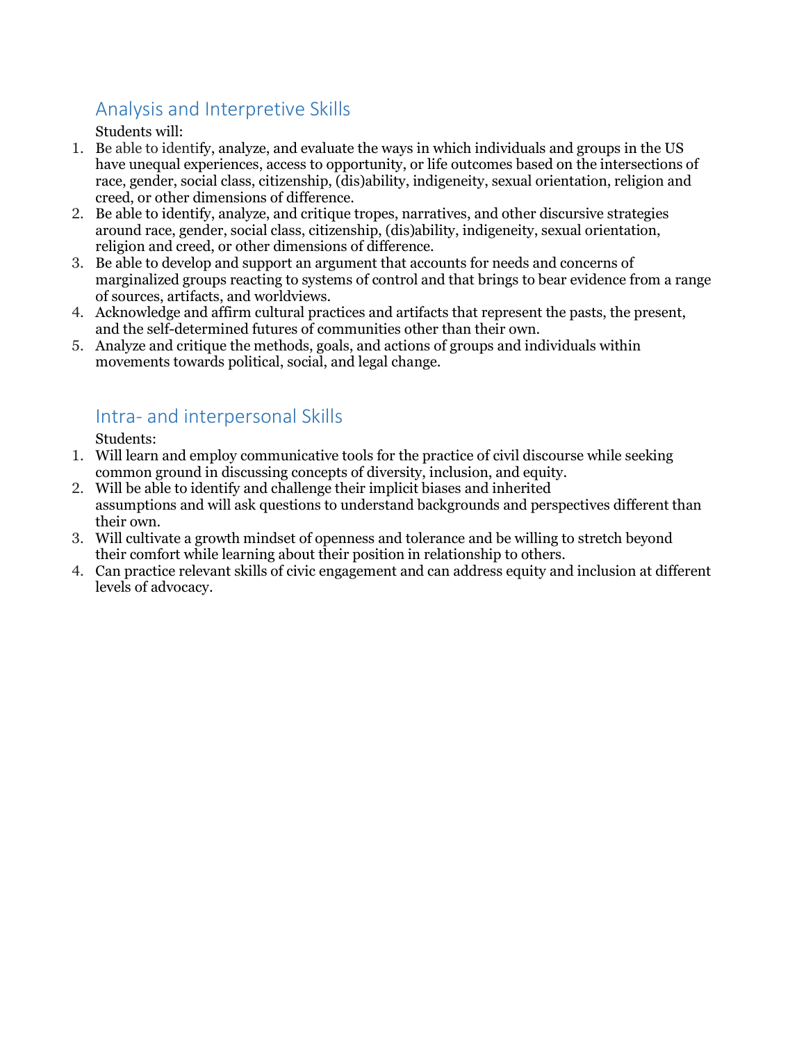## Analysis and Interpretive Skills

Students will:

- 1. Be able to identify, analyze, and evaluate the ways in which individuals and groups in the US have unequal experiences, access to opportunity, or life outcomes based on the intersections of race, gender, social class, citizenship, (dis)ability, indigeneity, sexual orientation, religion and creed, or other dimensions of difference.
- 2. Be able to identify, analyze, and critique tropes, narratives, and other discursive strategies around race, gender, social class, citizenship, (dis)ability, indigeneity, sexual orientation, religion and creed, or other dimensions of difference.
- 3. Be able to develop and support an argument that accounts for needs and concerns of marginalized groups reacting to systems of control and that brings to bear evidence from a range of sources, artifacts, and worldviews.
- 4. Acknowledge and affirm cultural practices and artifacts that represent the pasts, the present, and the self-determined futures of communities other than their own.
- 5. Analyze and critique the methods, goals, and actions of groups and individuals within movements towards political, social, and legal change.

## Intra- and interpersonal Skills

Students:

- 1. Will learn and employ communicative tools for the practice of civil discourse while seeking common ground in discussing concepts of diversity, inclusion, and equity.
- 2. Will be able to identify and challenge their implicit biases and inherited assumptions and will ask questions to understand backgrounds and perspectives different than their own.
- 3. Will cultivate a growth mindset of openness and tolerance and be willing to stretch beyond their comfort while learning about their position in relationship to others.
- 4. Can practice relevant skills of civic engagement and can address equity and inclusion at different levels of advocacy.